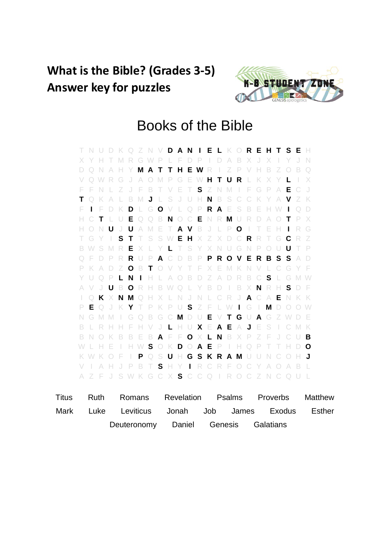## **What is the Bible? (Grades 3-5) Answer key for puzzles**



## Books of the Bible

T N U D K Q Z N V **D A N I E L** K O **R E H T S E** H X Y H T M R G W P L F D P I D A B X J X I Y J N D Q N A H Y **M A T T H E W** R I Z P V H B Z O B Q V Q W R G J A O M P G E W **H T U R** L K X Y **L** I X F F N L Z J F B T V E T **S** Z N M I F G P A **E** C J **T** Q K A L B M **J** L S J U H **N** B S C C K Y A **V** Z K F **I** F D K **D** L G **O** V L Q P **R A** E S B E H W **I** Q D H C **T** L U **E** Q Q B **N** O C **E** N R **M** U R D A O **T** P X H O N **U** J **U** A M E T **A V** B J L P **O** I T E H **I** R G T G Y I **S T** T S S W **E H** X Z X D C **R** R T G **C** R Z B W S M R **E** X L Y **L** T S Y X N U G N P O U **U** T P Q F D P R **R** U P **A** C D B P **P R O V E R B S S** A D P K A D Z **O** B **T** O V Y T F X E M K N V L C G Y F Y U Q P **L N I** H L A O B D Z A D R B C **S** L G M W A V J **U** B **O** R H B W Q L Y B D I B X **N** R H **S** D F I Q **K** X **N M** Q H X L N J N L C R J **A** C A **E** N K K P **E** Q J K **Y** T P K P U **S** Z F L W **I** G I **M** D O O W N G M M I G Q B G C **M** D U **E** V **T G** U **A** G Z W D E B L R H H F H V J **L** H U **X** E **A E** A **J** E S I C M K B N O K B B E B **A** F F **O** X **L N** B X P Z F J C U **B** W L H E I H W **S** O K **D** O **A E** P I H Q P T T H D **O** K W K O F I **P** Q S **U** H **G S K R A M** U U N C O H **J** V I A H J P B T **S** H Y **I** R C R F O C Y A O A B L A Z F J S W K G C X **S** C C Q I R O C Z N C Q U L

| Titus |  | Ruth Romans Revelation Psalms Proverbs Matthew |                                      |  |  |
|-------|--|------------------------------------------------|--------------------------------------|--|--|
| Mark  |  | Luke Leviticus Jonah Job James Exodus Esther   |                                      |  |  |
|       |  |                                                | Deuteronomy Daniel Genesis Galatians |  |  |